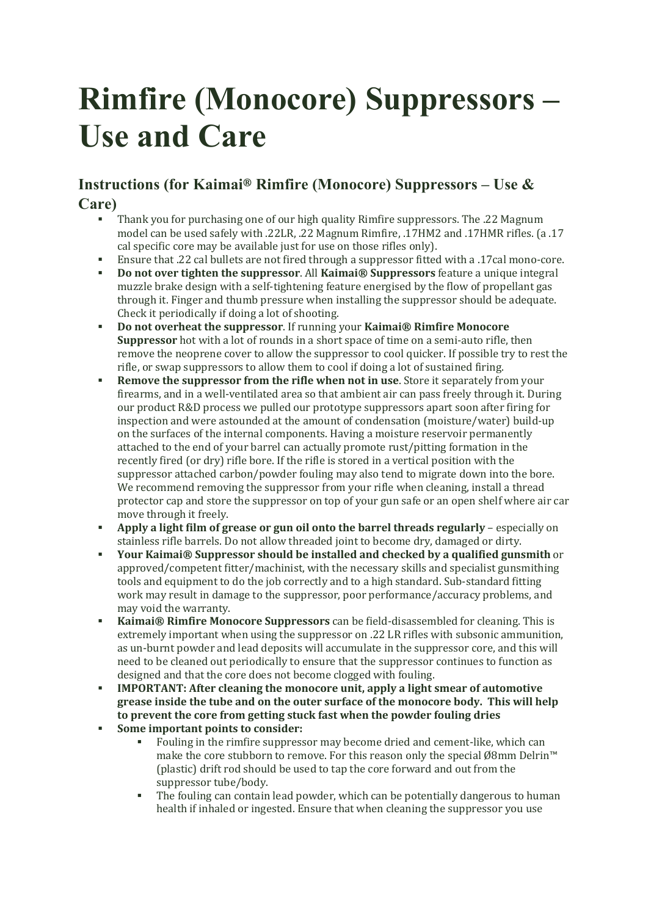## **Rimfire (Monocore) Suppressors – Use and Care**

## **Instructions (for Kaimai® Rimfire (Monocore) Suppressors – Use & Care)**

- Thank you for purchasing one of our high quality Rimfire suppressors. The .22 Magnum model can be used safely with .22LR, .22 Magnum Rimfire, .17HM2 and .17HMR rifles. (a .17 cal specific core may be available just for use on those rifles only).
- Ensure that .22 cal bullets are not fired through a suppressor fitted with a .17cal mono-core.
- **Do** not over tighten the suppressor. All Kaimai® Suppressors feature a unique integral muzzle brake design with a self-tightening feature energised by the flow of propellant gas through it. Finger and thumb pressure when installing the suppressor should be adequate. Check it periodically if doing a lot of shooting.
- § **Do not overheat the suppressor**. If running your **Kaimai® Rimfire Monocore Suppressor** hot with a lot of rounds in a short space of time on a semi-auto rifle, then remove the neoprene cover to allow the suppressor to cool quicker. If possible try to rest the rifle, or swap suppressors to allow them to cool if doing a lot of sustained firing.
- **Remove the suppressor from the rifle when not in use**. Store it separately from your firearms, and in a well-ventilated area so that ambient air can pass freely through it. During our product R&D process we pulled our prototype suppressors apart soon after firing for inspection and were astounded at the amount of condensation (moisture/water) build-up on the surfaces of the internal components. Having a moisture reservoir permanently attached to the end of your barrel can actually promote rust/pitting formation in the recently fired (or dry) rifle bore. If the rifle is stored in a vertical position with the suppressor attached carbon/powder fouling may also tend to migrate down into the bore. We recommend removing the suppressor from your rifle when cleaning, install a thread protector cap and store the suppressor on top of your gun safe or an open shelf where air car move through it freely.
- § **Apply a light film of grease or gun oil onto the barrel threads regularly** especially on stainless rifle barrels. Do not allow threaded joint to become dry, damaged or dirty.
- § **Your Kaimai® Suppressor should be installed and checked by a qualified gunsmith** or approved/competent fitter/machinist, with the necessary skills and specialist gunsmithing tools and equipment to do the job correctly and to a high standard. Sub-standard fitting work may result in damage to the suppressor, poor performance/accuracy problems, and may void the warranty.
- **EXALIMEREE: Kaimai®** Rimfire Monocore Suppressors can be field-disassembled for cleaning. This is extremely important when using the suppressor on .22 LR rifles with subsonic ammunition, as un-burnt powder and lead deposits will accumulate in the suppressor core, and this will need to be cleaned out periodically to ensure that the suppressor continues to function as designed and that the core does not become clogged with fouling.
- § **IMPORTANT: After cleaning the monocore unit, apply a light smear of automotive grease inside the tube and on the outer surface of the monocore body. This will help to prevent the core from getting stuck fast when the powder fouling dries**
- § **Some important points to consider:**
	- Fouling in the rimfire suppressor may become dried and cement-like, which can make the core stubborn to remove. For this reason only the special Ø8mm Delrin™ (plastic) drift rod should be used to tap the core forward and out from the suppressor tube/body.
	- The fouling can contain lead powder, which can be potentially dangerous to human health if inhaled or ingested. Ensure that when cleaning the suppressor you use